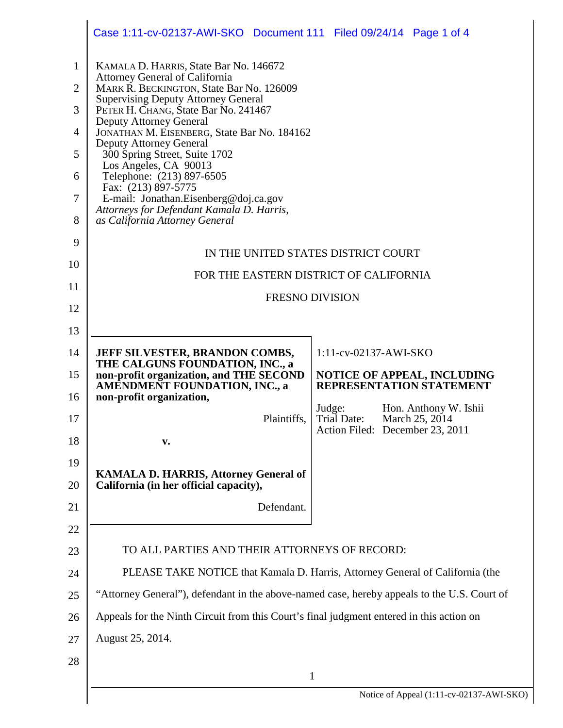|                                                                                | Case 1:11-cv-02137-AWI-SKO Document 111 Filed 09/24/14 Page 1 of 4                                                                                                                                                                                                                                                                                                                                                                                                                                                                                                  |                                 |  |                                                                |  |  |
|--------------------------------------------------------------------------------|---------------------------------------------------------------------------------------------------------------------------------------------------------------------------------------------------------------------------------------------------------------------------------------------------------------------------------------------------------------------------------------------------------------------------------------------------------------------------------------------------------------------------------------------------------------------|---------------------------------|--|----------------------------------------------------------------|--|--|
| $\mathbf{1}$<br>$\overline{2}$<br>3<br>$\overline{4}$<br>5<br>6<br>7<br>8<br>9 | KAMALA D. HARRIS, State Bar No. 146672<br>Attorney General of California<br>MARK R. BECKINGTON, State Bar No. 126009<br><b>Supervising Deputy Attorney General</b><br>PETER H. CHANG, State Bar No. 241467<br><b>Deputy Attorney General</b><br>JONATHAN M. EISENBERG, State Bar No. 184162<br><b>Deputy Attorney General</b><br>300 Spring Street, Suite 1702<br>Los Angeles, CA 90013<br>Telephone: (213) 897-6505<br>Fax: (213) 897-5775<br>E-mail: Jonathan.Eisenberg@doj.ca.gov<br>Attorneys for Defendant Kamala D. Harris,<br>as California Attorney General |                                 |  |                                                                |  |  |
| 10                                                                             | IN THE UNITED STATES DISTRICT COURT<br>FOR THE EASTERN DISTRICT OF CALIFORNIA                                                                                                                                                                                                                                                                                                                                                                                                                                                                                       |                                 |  |                                                                |  |  |
| 11                                                                             | <b>FRESNO DIVISION</b>                                                                                                                                                                                                                                                                                                                                                                                                                                                                                                                                              |                                 |  |                                                                |  |  |
| 12                                                                             |                                                                                                                                                                                                                                                                                                                                                                                                                                                                                                                                                                     |                                 |  |                                                                |  |  |
| 13                                                                             |                                                                                                                                                                                                                                                                                                                                                                                                                                                                                                                                                                     |                                 |  |                                                                |  |  |
| 14                                                                             | JEFF SILVESTER, BRANDON COMBS,<br>THE CALGUNS FOUNDATION, INC., a                                                                                                                                                                                                                                                                                                                                                                                                                                                                                                   | 1:11-cv-02137-AWI-SKO           |  |                                                                |  |  |
| 15<br>16                                                                       | non-profit organization, and THE SECOND<br><b>AMENDMENT FOUNDATION, INC., a</b><br>non-profit organization,                                                                                                                                                                                                                                                                                                                                                                                                                                                         |                                 |  | <b>NOTICE OF APPEAL, INCLUDING</b><br>REPRESENTATION STATEMENT |  |  |
| 17                                                                             | Plaintiffs,                                                                                                                                                                                                                                                                                                                                                                                                                                                                                                                                                         | Judge:<br>Trial Date:           |  | Hon. Anthony W. Ishii<br>March 25, 2014                        |  |  |
| 18                                                                             | v.                                                                                                                                                                                                                                                                                                                                                                                                                                                                                                                                                                  | Action Filed: December 23, 2011 |  |                                                                |  |  |
| 19                                                                             |                                                                                                                                                                                                                                                                                                                                                                                                                                                                                                                                                                     |                                 |  |                                                                |  |  |
| 20                                                                             | <b>KAMALA D. HARRIS, Attorney General of</b><br>California (in her official capacity),                                                                                                                                                                                                                                                                                                                                                                                                                                                                              |                                 |  |                                                                |  |  |
| 21                                                                             | Defendant.                                                                                                                                                                                                                                                                                                                                                                                                                                                                                                                                                          |                                 |  |                                                                |  |  |
| 22                                                                             |                                                                                                                                                                                                                                                                                                                                                                                                                                                                                                                                                                     |                                 |  |                                                                |  |  |
| 23                                                                             | TO ALL PARTIES AND THEIR ATTORNEYS OF RECORD:                                                                                                                                                                                                                                                                                                                                                                                                                                                                                                                       |                                 |  |                                                                |  |  |
| 24                                                                             | PLEASE TAKE NOTICE that Kamala D. Harris, Attorney General of California (the                                                                                                                                                                                                                                                                                                                                                                                                                                                                                       |                                 |  |                                                                |  |  |
| 25                                                                             | "Attorney General"), defendant in the above-named case, hereby appeals to the U.S. Court of                                                                                                                                                                                                                                                                                                                                                                                                                                                                         |                                 |  |                                                                |  |  |
| 26                                                                             | Appeals for the Ninth Circuit from this Court's final judgment entered in this action on                                                                                                                                                                                                                                                                                                                                                                                                                                                                            |                                 |  |                                                                |  |  |
| 27                                                                             | August 25, 2014.                                                                                                                                                                                                                                                                                                                                                                                                                                                                                                                                                    |                                 |  |                                                                |  |  |
| 28                                                                             |                                                                                                                                                                                                                                                                                                                                                                                                                                                                                                                                                                     |                                 |  |                                                                |  |  |
|                                                                                | $\mathbf{1}$<br>Notice of Appeal (1:11-cv-02137-AWI-S)                                                                                                                                                                                                                                                                                                                                                                                                                                                                                                              |                                 |  |                                                                |  |  |
|                                                                                |                                                                                                                                                                                                                                                                                                                                                                                                                                                                                                                                                                     |                                 |  |                                                                |  |  |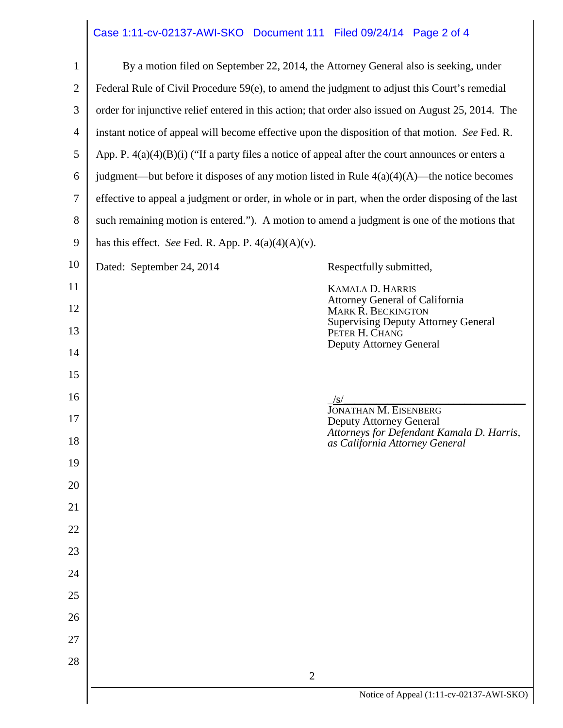## Case 1:11-cv-02137-AWI-SKO Document 111 Filed 09/24/14 Page 2 of 4

| $\mathbf{1}$   | By a motion filed on September 22, 2014, the Attorney General also is seeking, under                |                                                                             |  |  |  |  |  |
|----------------|-----------------------------------------------------------------------------------------------------|-----------------------------------------------------------------------------|--|--|--|--|--|
| $\mathfrak{2}$ | Federal Rule of Civil Procedure 59(e), to amend the judgment to adjust this Court's remedial        |                                                                             |  |  |  |  |  |
| $\mathfrak{Z}$ | order for injunctive relief entered in this action; that order also issued on August 25, 2014. The  |                                                                             |  |  |  |  |  |
| $\overline{4}$ | instant notice of appeal will become effective upon the disposition of that motion. See Fed. R.     |                                                                             |  |  |  |  |  |
| 5              | App. P. $4(a)(4)(B)(i)$ ("If a party files a notice of appeal after the court announces or enters a |                                                                             |  |  |  |  |  |
| 6              | judgment—but before it disposes of any motion listed in Rule $4(a)(4)(A)$ —the notice becomes       |                                                                             |  |  |  |  |  |
| $\tau$         | effective to appeal a judgment or order, in whole or in part, when the order disposing of the last  |                                                                             |  |  |  |  |  |
| $8\,$          | such remaining motion is entered."). A motion to amend a judgment is one of the motions that        |                                                                             |  |  |  |  |  |
| 9              | has this effect. See Fed. R. App. P. $4(a)(4)(A)(v)$ .                                              |                                                                             |  |  |  |  |  |
| 10             | Dated: September 24, 2014                                                                           | Respectfully submitted,                                                     |  |  |  |  |  |
| 11             |                                                                                                     | KAMALA D. HARRIS                                                            |  |  |  |  |  |
| 12             |                                                                                                     | <b>Attorney General of California</b><br><b>MARK R. BECKINGTON</b>          |  |  |  |  |  |
| 13             |                                                                                                     | <b>Supervising Deputy Attorney General</b><br>PETER H. CHANG                |  |  |  |  |  |
| 14             |                                                                                                     | <b>Deputy Attorney General</b>                                              |  |  |  |  |  |
| 15             |                                                                                                     |                                                                             |  |  |  |  |  |
| 16             |                                                                                                     | /S/<br><b>JONATHAN M. EISENBERG</b>                                         |  |  |  |  |  |
| 17             |                                                                                                     | <b>Deputy Attorney General</b><br>Attorneys for Defendant Kamala D. Harris, |  |  |  |  |  |
| 18             |                                                                                                     | as California Attorney General                                              |  |  |  |  |  |
| 19             |                                                                                                     |                                                                             |  |  |  |  |  |
| 20             |                                                                                                     |                                                                             |  |  |  |  |  |
| 21             |                                                                                                     |                                                                             |  |  |  |  |  |
| 22             |                                                                                                     |                                                                             |  |  |  |  |  |
| 23             |                                                                                                     |                                                                             |  |  |  |  |  |
| 24             |                                                                                                     |                                                                             |  |  |  |  |  |
| 25             |                                                                                                     |                                                                             |  |  |  |  |  |
| 26             |                                                                                                     |                                                                             |  |  |  |  |  |
| 27             |                                                                                                     |                                                                             |  |  |  |  |  |
| 28             | $\overline{2}$                                                                                      |                                                                             |  |  |  |  |  |
|                | Notice of Appeal (1:11-cv-02137-AWI-SKO)                                                            |                                                                             |  |  |  |  |  |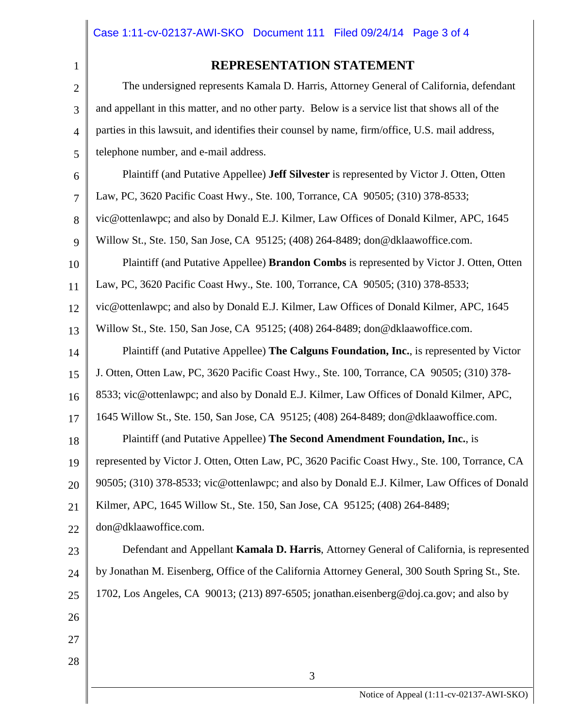4

5

6

7

## **REPRESENTATION STATEMENT**

The undersigned represents Kamala D. Harris, Attorney General of California, defendant and appellant in this matter, and no other party. Below is a service list that shows all of the parties in this lawsuit, and identifies their counsel by name, firm/office, U.S. mail address, telephone number, and e-mail address. Plaintiff (and Putative Appellee) **Jeff Silvester** is represented by Victor J. Otten, Otten Law, PC, 3620 Pacific Coast Hwy., Ste. 100, Torrance, CA 90505; (310) 378-8533;

8 vic@ottenlawpc; and also by Donald E.J. Kilmer, Law Offices of Donald Kilmer, APC, 1645

9 Willow St., Ste. 150, San Jose, CA 95125; (408) 264-8489; don@dklaawoffice.com.

10 11 Plaintiff (and Putative Appellee) **Brandon Combs** is represented by Victor J. Otten, Otten Law, PC, 3620 Pacific Coast Hwy., Ste. 100, Torrance, CA 90505; (310) 378-8533;

12 vic@ottenlawpc; and also by Donald E.J. Kilmer, Law Offices of Donald Kilmer, APC, 1645

13 Willow St., Ste. 150, San Jose, CA 95125; (408) 264-8489; don@dklaawoffice.com.

14 Plaintiff (and Putative Appellee) **The Calguns Foundation, Inc.**, is represented by Victor

15 J. Otten, Otten Law, PC, 3620 Pacific Coast Hwy., Ste. 100, Torrance, CA 90505; (310) 378-

16 8533; vic@ottenlawpc; and also by Donald E.J. Kilmer, Law Offices of Donald Kilmer, APC,

17 1645 Willow St., Ste. 150, San Jose, CA 95125; (408) 264-8489; don@dklaawoffice.com.

18 Plaintiff (and Putative Appellee) **The Second Amendment Foundation, Inc.**, is

19 represented by Victor J. Otten, Otten Law, PC, 3620 Pacific Coast Hwy., Ste. 100, Torrance, CA

20 90505; (310) 378-8533; vic@ottenlawpc; and also by Donald E.J. Kilmer, Law Offices of Donald

21 Kilmer, APC, 1645 Willow St., Ste. 150, San Jose, CA 95125; (408) 264-8489;

22 don@dklaawoffice.com.

23 24 25 Defendant and Appellant **Kamala D. Harris**, Attorney General of California, is represented by Jonathan M. Eisenberg, Office of the California Attorney General, 300 South Spring St., Ste. 1702, Los Angeles, CA 90013; (213) 897-6505; jonathan.eisenberg@doj.ca.gov; and also by

26

27 28

3